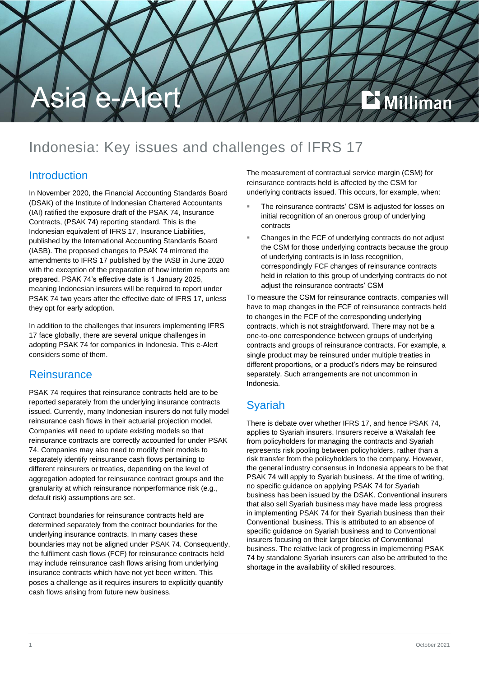

## Indonesia: Key issues and challenges of IFRS 17

#### **Introduction**

In November 2020, the Financial Accounting Standards Board (DSAK) of the Institute of Indonesian Chartered Accountants (IAI) ratified the exposure draft of the PSAK 74, Insurance Contracts, (PSAK 74) reporting standard. This is the Indonesian equivalent of IFRS 17, Insurance Liabilities, published by the International Accounting Standards Board (IASB). The proposed changes to PSAK 74 mirrored the amendments to IFRS 17 published by the IASB in June 2020 with the exception of the preparation of how interim reports are prepared. PSAK 74's effective date is 1 January 2025, meaning Indonesian insurers will be required to report under PSAK 74 two years after the effective date of IFRS 17, unless they opt for early adoption.

In addition to the challenges that insurers implementing IFRS 17 face globally, there are several unique challenges in adopting PSAK 74 for companies in Indonesia. This e-Alert considers some of them.

#### **Reinsurance**

PSAK 74 requires that reinsurance contracts held are to be reported separately from the underlying insurance contracts issued. Currently, many Indonesian insurers do not fully model reinsurance cash flows in their actuarial projection model. Companies will need to update existing models so that reinsurance contracts are correctly accounted for under PSAK 74. Companies may also need to modify their models to separately identify reinsurance cash flows pertaining to different reinsurers or treaties, depending on the level of aggregation adopted for reinsurance contract groups and the granularity at which reinsurance nonperformance risk (e.g., default risk) assumptions are set.

Contract boundaries for reinsurance contracts held are determined separately from the contract boundaries for the underlying insurance contracts. In many cases these boundaries may not be aligned under PSAK 74. Consequently, the fulfilment cash flows (FCF) for reinsurance contracts held may include reinsurance cash flows arising from underlying insurance contracts which have not yet been written. This poses a challenge as it requires insurers to explicitly quantify cash flows arising from future new business.

The measurement of contractual service margin (CSM) for reinsurance contracts held is affected by the CSM for underlying contracts issued. This occurs, for example, when:

- The reinsurance contracts' CSM is adjusted for losses on initial recognition of an onerous group of underlying contracts
- Changes in the FCF of underlying contracts do not adjust the CSM for those underlying contracts because the group of underlying contracts is in loss recognition, correspondingly FCF changes of reinsurance contracts held in relation to this group of underlying contracts do not adjust the reinsurance contracts' CSM

To measure the CSM for reinsurance contracts, companies will have to map changes in the FCF of reinsurance contracts held to changes in the FCF of the corresponding underlying contracts, which is not straightforward. There may not be a one-to-one correspondence between groups of underlying contracts and groups of reinsurance contracts. For example, a single product may be reinsured under multiple treaties in different proportions, or a product's riders may be reinsured separately. Such arrangements are not uncommon in Indonesia.

#### Syariah

There is debate over whether IFRS 17, and hence PSAK 74, applies to Syariah insurers. Insurers receive a Wakalah fee from policyholders for managing the contracts and Syariah represents risk pooling between policyholders, rather than a risk transfer from the policyholders to the company. However, the general industry consensus in Indonesia appears to be that PSAK 74 will apply to Syariah business. At the time of writing, no specific guidance on applying PSAK 74 for Syariah business has been issued by the DSAK. Conventional insurers that also sell Syariah business may have made less progress in implementing PSAK 74 for their Syariah business than their Conventional business. This is attributed to an absence of specific guidance on Syariah business and to Conventional insurers focusing on their larger blocks of Conventional business. The relative lack of progress in implementing PSAK 74 by standalone Syariah insurers can also be attributed to the shortage in the availability of skilled resources.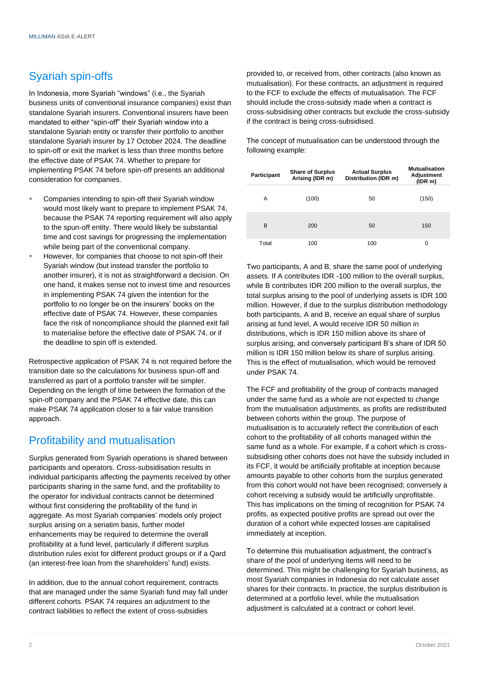### Syariah spin-offs

In Indonesia, more Syariah "windows" (i.e., the Syariah business units of conventional insurance companies) exist than standalone Syariah insurers. Conventional insurers have been mandated to either "spin-off" their Syariah window into a standalone Syariah entity or transfer their portfolio to another standalone Syariah insurer by 17 October 2024. The deadline to spin-off or exit the market is less than three months before the effective date of PSAK 74. Whether to prepare for implementing PSAK 74 before spin-off presents an additional consideration for companies.

- Companies intending to spin-off their Syariah window would most likely want to prepare to implement PSAK 74, because the PSAK 74 reporting requirement will also apply to the spun-off entity. There would likely be substantial time and cost savings for progressing the implementation while being part of the conventional company.
- However, for companies that choose to not spin-off their Syariah window (but instead transfer the portfolio to another insurer), it is not as straightforward a decision. On one hand, it makes sense not to invest time and resources in implementing PSAK 74 given the intention for the portfolio to no longer be on the insurers' books on the effective date of PSAK 74. However, these companies face the risk of noncompliance should the planned exit fail to materialise before the effective date of PSAK 74, or if the deadline to spin off is extended.

Retrospective application of PSAK 74 is not required before the transition date so the calculations for business spun-off and transferred as part of a portfolio transfer will be simpler. Depending on the length of time between the formation of the spin-off company and the PSAK 74 effective date, this can make PSAK 74 application closer to a fair value transition approach.

#### Profitability and mutualisation

Surplus generated from Syariah operations is shared between participants and operators. Cross-subsidisation results in individual participants affecting the payments received by other participants sharing in the same fund, and the profitability to the operator for individual contracts cannot be determined without first considering the profitability of the fund in aggregate. As most Syariah companies' models only project surplus arising on a seriatim basis, further model enhancements may be required to determine the overall profitability at a fund level, particularly if different surplus distribution rules exist for different product groups or if a Qard (an interest-free loan from the shareholders' fund) exists.

In addition, due to the annual cohort requirement, contracts that are managed under the same Syariah fund may fall under different cohorts. PSAK 74 requires an adjustment to the contract liabilities to reflect the extent of cross-subsidies

provided to, or received from, other contracts (also known as mutualisation). For these contracts, an adjustment is required to the FCF to exclude the effects of mutualisation. The FCF should include the cross-subsidy made when a contract is cross-subsidising other contracts but exclude the cross-subsidy if the contract is being cross-subsidised.

The concept of mutualisation can be understood through the following example:

| Participant | <b>Share of Surplus</b><br>Arising (IDR m) | <b>Actual Surplus</b><br>Distribution (IDR m) | Mutualisation<br>Adjustment<br>(IDR m) |
|-------------|--------------------------------------------|-----------------------------------------------|----------------------------------------|
| A           | (100)                                      | 50                                            | (150)                                  |
| B           | 200                                        | 50                                            | 150                                    |
| Total       | 100                                        | 100                                           | 0                                      |

Two participants, A and B, share the same pool of underlying assets. If A contributes IDR -100 million to the overall surplus, while B contributes IDR 200 million to the overall surplus, the total surplus arising to the pool of underlying assets is IDR 100 million. However, if due to the surplus distribution methodology both participants, A and B, receive an equal share of surplus arising at fund level, A would receive IDR 50 million in distributions, which is IDR 150 million above its share of surplus arising, and conversely participant B's share of IDR 50 million is IDR 150 million below its share of surplus arising. This is the effect of mutualisation, which would be removed under PSAK 74.

The FCF and profitability of the group of contracts managed under the same fund as a whole are not expected to change from the mutualisation adjustments, as profits are redistributed between cohorts within the group. The purpose of mutualisation is to accurately reflect the contribution of each cohort to the profitability of all cohorts managed within the same fund as a whole. For example, if a cohort which is crosssubsidising other cohorts does not have the subsidy included in its FCF, it would be artificially profitable at inception because amounts payable to other cohorts from the surplus generated from this cohort would not have been recognised; conversely a cohort receiving a subsidy would be artificially unprofitable. This has implications on the timing of recognition for PSAK 74 profits, as expected positive profits are spread out over the duration of a cohort while expected losses are capitalised immediately at inception.

To determine this mutualisation adjustment, the contract's share of the pool of underlying items will need to be determined. This might be challenging for Syariah business, as most Syariah companies in Indonesia do not calculate asset shares for their contracts. In practice, the surplus distribution is determined at a portfolio level, while the mutualisation adjustment is calculated at a contract or cohort level.